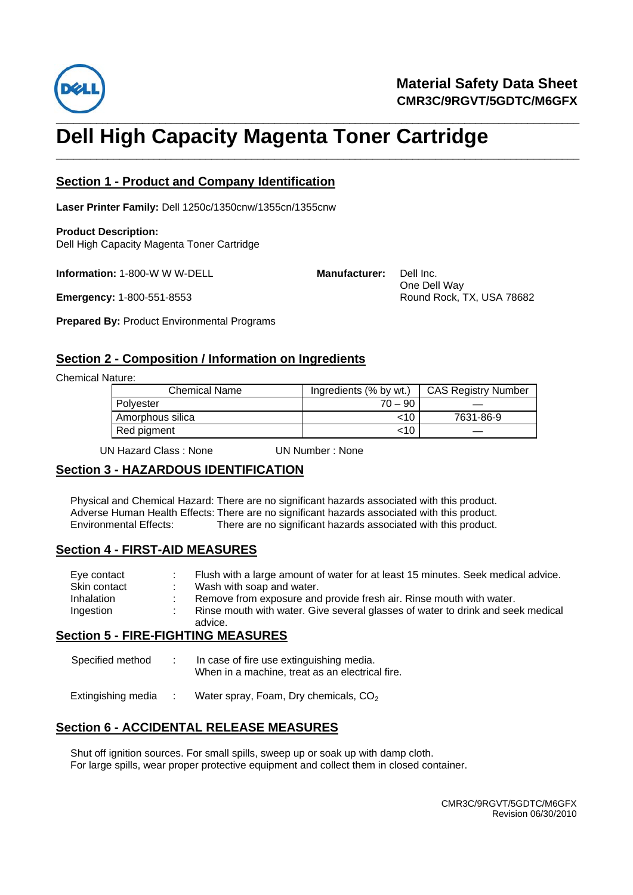

# \_\_\_\_\_\_\_\_\_\_\_\_\_\_\_\_\_\_\_\_\_\_\_\_\_\_\_\_\_\_\_\_\_\_\_\_\_\_\_\_\_\_\_\_\_\_\_\_\_\_\_\_\_\_\_\_\_\_\_\_\_\_\_\_\_\_\_\_\_\_\_\_\_\_\_\_\_\_\_\_\_\_\_\_\_\_\_\_\_\_\_ **Dell High Capacity Magenta Toner Cartridge**

\_\_\_\_\_\_\_\_\_\_\_\_\_\_\_\_\_\_\_\_\_\_\_\_\_\_\_\_\_\_\_\_\_\_\_\_\_\_\_\_\_\_\_\_\_\_\_\_\_\_\_\_\_\_\_\_\_\_\_\_\_\_\_\_\_\_\_\_\_\_\_\_\_\_\_\_\_\_\_\_\_\_\_\_\_\_\_\_\_\_\_

#### **Section 1 - Product and Company Identification**

**Laser Printer Family:** Dell 1250c/1350cnw/1355cn/1355cnw

**Product Description:** Dell High Capacity Magenta Toner Cartridge

**Information:** 1-800-W W W-DELL

**Emergency:** 1-800-551-8553

**Prepared By:** Product Environmental Programs

## **Section 2 - Composition / Information on Ingredients**

Chemical Nature:

| .                    |                        |                            |  |
|----------------------|------------------------|----------------------------|--|
| <b>Chemical Name</b> | Ingredients (% by wt.) | <b>CAS Registry Number</b> |  |
| Polyester            | $70 - 90$              |                            |  |
| Amorphous silica     | <10                    | 7631-86-9                  |  |
| Red pigment          | <10                    |                            |  |

**Manufacturer:** Dell Inc.

One Dell Way

Round Rock, TX, USA 78682

UN Hazard Class : None UN Number : None

## **Section 3 - HAZARDOUS IDENTIFICATION**

Physical and Chemical Hazard: There are no significant hazards associated with this product. Adverse Human Health Effects: There are no significant hazards associated with this product. Environmental Effects: There are no significant hazards associated with this product.

#### **Section 4 - FIRST-AID MEASURES**

| Eve contact  | Flush with a large amount of water for at least 15 minutes. Seek medical advice. |
|--------------|----------------------------------------------------------------------------------|
| Skin contact | Wash with soap and water.                                                        |
| Inhalation   | Remove from exposure and provide fresh air. Rinse mouth with water.              |
| Ingestion    | Rinse mouth with water. Give several glasses of water to drink and seek medical  |
|              | advice.                                                                          |

#### **Section 5 - FIRE-FIGHTING MEASURES**

| Specified method | In case of fire use extinguishing media.<br>When in a machine, treat as an electrical fire. |
|------------------|---------------------------------------------------------------------------------------------|
|                  |                                                                                             |

Extingishing media : Water spray, Foam, Dry chemicals,  $CO<sub>2</sub>$ 

## **Section 6 - ACCIDENTAL RELEASE MEASURES**

Shut off ignition sources. For small spills, sweep up or soak up with damp cloth. For large spills, wear proper protective equipment and collect them in closed container.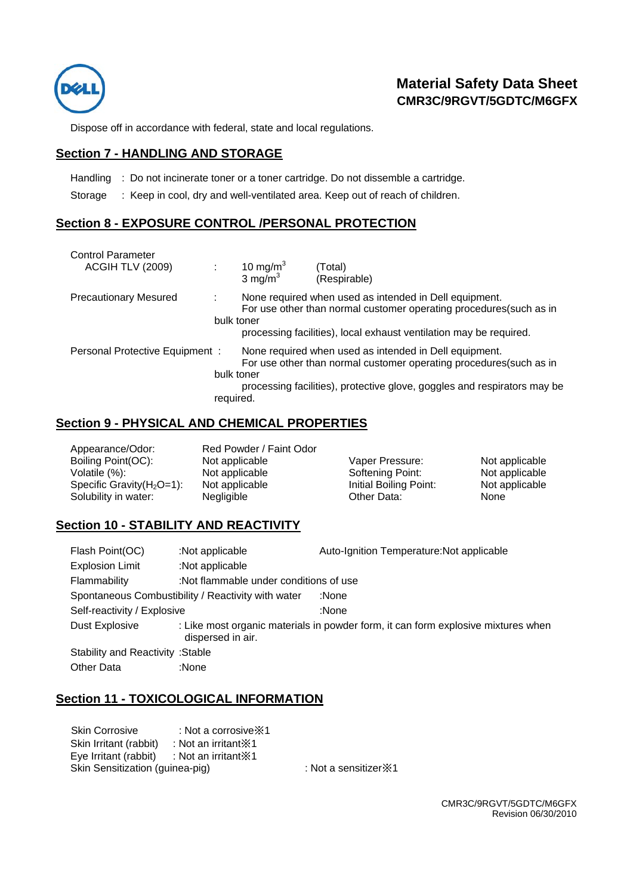

## **Material Safety Data Sheet CMR3C/9RGVT/5GDTC/M6GFX**

Dispose off in accordance with federal, state and local regulations.

#### **Section 7 - HANDLING AND STORAGE**

Handling : Do not incinerate toner or a toner cartridge. Do not dissemble a cartridge.

Storage : Keep in cool, dry and well-ventilated area. Keep out of reach of children.

## **Section 8 - EXPOSURE CONTROL /PERSONAL PROTECTION**

| <b>Control Parameter</b><br>ACGIH TLV (2009) |                         | 10 mg/m <sup>3</sup><br>3 mg/m $3$ | Total)<br>(Respirable)                                                                                                                                                                                    |
|----------------------------------------------|-------------------------|------------------------------------|-----------------------------------------------------------------------------------------------------------------------------------------------------------------------------------------------------------|
| <b>Precautionary Mesured</b>                 | bulk toner              |                                    | None required when used as intended in Dell equipment.<br>For use other than normal customer operating procedures (such as in<br>processing facilities), local exhaust ventilation may be required.       |
| Personal Protective Equipment:               | bulk toner<br>required. |                                    | None required when used as intended in Dell equipment.<br>For use other than normal customer operating procedures (such as in<br>processing facilities), protective glove, goggles and respirators may be |

#### **Section 9 - PHYSICAL AND CHEMICAL PROPERTIES**

| Appearance/Odor:              | Red Powder / Faint Odor |                        |                |
|-------------------------------|-------------------------|------------------------|----------------|
| Boiling Point(OC):            | Not applicable          | Vaper Pressure:        | Not applicable |
| Volatile (%):                 | Not applicable          | Softening Point:       | Not applicable |
| Specific Gravity $(H_2O=1)$ : | Not applicable          | Initial Boiling Point: | Not applicable |
| Solubility in water:          | Negligible              | Other Data:            | None           |

## **Section 10 - STABILITY AND REACTIVITY**

| Flash Point(OC)                                             | :Not applicable                        | Auto-Ignition Temperature: Not applicable                                         |
|-------------------------------------------------------------|----------------------------------------|-----------------------------------------------------------------------------------|
| <b>Explosion Limit</b>                                      | :Not applicable                        |                                                                                   |
| Flammability                                                | :Not flammable under conditions of use |                                                                                   |
| Spontaneous Combustibility / Reactivity with water<br>:None |                                        |                                                                                   |
| Self-reactivity / Explosive                                 |                                        | :None                                                                             |
| Dust Explosive                                              | dispersed in air.                      | : Like most organic materials in powder form, it can form explosive mixtures when |
| <b>Stability and Reactivity: Stable</b>                     |                                        |                                                                                   |
| <b>Other Data</b>                                           | :None                                  |                                                                                   |

#### **Section 11 - TOXICOLOGICAL INFORMATION**

| <b>Skin Corrosive</b>           | : Not a corrosive $\ge 1$ |                               |
|---------------------------------|---------------------------|-------------------------------|
| Skin Irritant (rabbit)          | : Not an irritant X1      |                               |
| Eye Irritant (rabbit)           | : Not an irritant $\ge 1$ |                               |
| Skin Sensitization (guinea-pig) |                           | : Not a sensitizer $\times$ 1 |